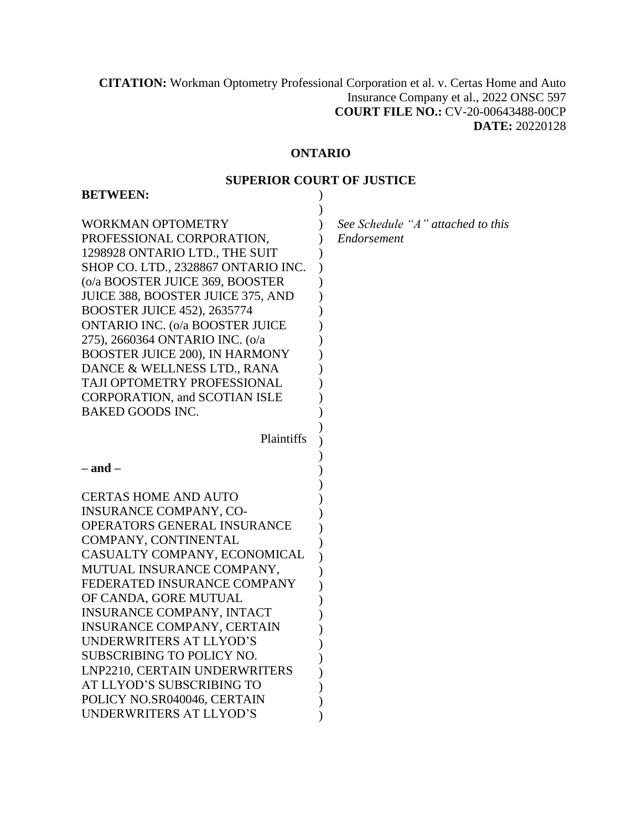**CITATION:** Workman Optometry Professional Corporation et al. v. Certas Home and Auto Insurance Company et al., 2022 ONSC 597 **COURT FILE NO.:** CV-20-00643488-00CP **DATE:** 20220128

# **ONTARIO**

## **SUPERIOR COURT OF JUSTICE**

| <b>BETWEEN:</b>                                                                                                                                                                                                                                                                                                                                                                                                                                                                              |                                                  |
|----------------------------------------------------------------------------------------------------------------------------------------------------------------------------------------------------------------------------------------------------------------------------------------------------------------------------------------------------------------------------------------------------------------------------------------------------------------------------------------------|--------------------------------------------------|
| <b>WORKMAN OPTOMETRY</b><br>PROFESSIONAL CORPORATION,<br>1298928 ONTARIO LTD., THE SUIT<br>SHOP CO. LTD., 2328867 ONTARIO INC.<br>(o/a BOOSTER JUICE 369, BOOSTER<br>JUICE 388, BOOSTER JUICE 375, AND<br><b>BOOSTER JUICE 452), 2635774</b><br><b>ONTARIO INC. (o/a BOOSTER JUICE</b><br>275), 2660364 ONTARIO INC. (o/a<br>BOOSTER JUICE 200), IN HARMONY<br>DANCE & WELLNESS LTD., RANA<br>TAJI OPTOMETRY PROFESSIONAL<br><b>CORPORATION, and SCOTIAN ISLE</b><br><b>BAKED GOODS INC.</b> | See Schedule "A" attached to this<br>Endorsement |
| Plaintiffs                                                                                                                                                                                                                                                                                                                                                                                                                                                                                   |                                                  |
| $-$ and $-$                                                                                                                                                                                                                                                                                                                                                                                                                                                                                  |                                                  |
| <b>CERTAS HOME AND AUTO</b><br><b>INSURANCE COMPANY, CO-</b><br>OPERATORS GENERAL INSURANCE<br>COMPANY, CONTINENTAL<br>CASUALTY COMPANY, ECONOMICAL<br>MUTUAL INSURANCE COMPANY,<br>FEDERATED INSURANCE COMPANY<br>OF CANDA, GORE MUTUAL<br><b>INSURANCE COMPANY, INTACT</b><br><b>INSURANCE COMPANY, CERTAIN</b><br>UNDERWRITERS AT LLYOD'S<br><b>SUBSCRIBING TO POLICY NO.</b><br>LNP2210, CERTAIN UNDERWRITERS<br>AT LLYOD'S SUBSCRIBING TO<br>POLICY NO.SR040046, CERTAIN                |                                                  |
| UNDERWRITERS AT LLYOD'S                                                                                                                                                                                                                                                                                                                                                                                                                                                                      |                                                  |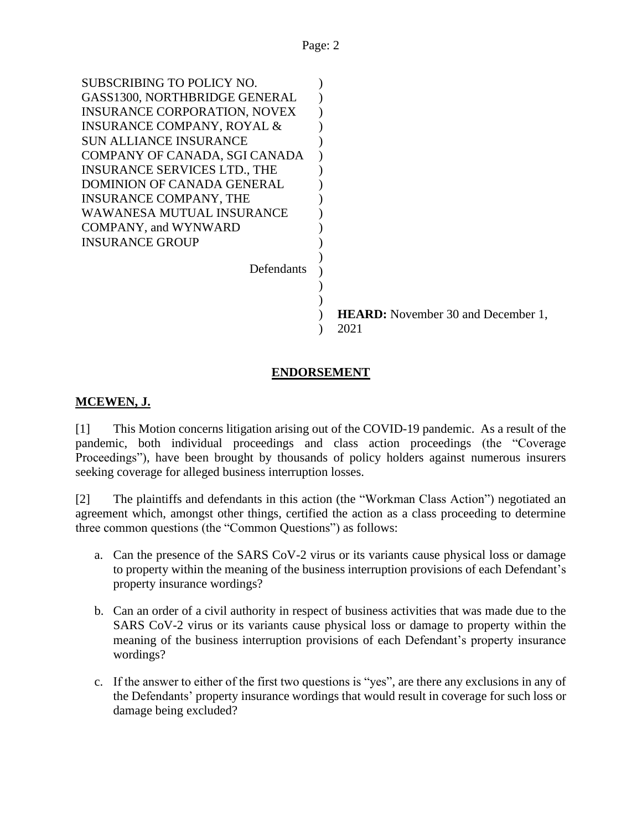| SUBSCRIBING TO POLICY NO.             |      |                                           |
|---------------------------------------|------|-------------------------------------------|
| GASS1300, NORTHBRIDGE GENERAL         |      |                                           |
| <b>INSURANCE CORPORATION, NOVEX</b>   |      |                                           |
| <b>INSURANCE COMPANY, ROYAL &amp;</b> |      |                                           |
| <b>SUN ALLIANCE INSURANCE</b>         |      |                                           |
| COMPANY OF CANADA, SGI CANADA         |      |                                           |
| <b>INSURANCE SERVICES LTD., THE</b>   |      |                                           |
| DOMINION OF CANADA GENERAL            |      |                                           |
| <b>INSURANCE COMPANY, THE</b>         |      |                                           |
| <b>WAWANESA MUTUAL INSURANCE</b>      |      |                                           |
| <b>COMPANY</b> , and WYNWARD          |      |                                           |
| <b>INSURANCE GROUP</b>                |      |                                           |
|                                       |      |                                           |
| Defendants                            |      |                                           |
|                                       |      |                                           |
|                                       |      |                                           |
|                                       |      | <b>HEARD:</b> November 30 and December 1, |
|                                       | 2021 |                                           |
|                                       |      |                                           |

## **ENDORSEMENT**

## **MCEWEN, J.**

[1] This Motion concerns litigation arising out of the COVID-19 pandemic. As a result of the pandemic, both individual proceedings and class action proceedings (the "Coverage Proceedings"), have been brought by thousands of policy holders against numerous insurers seeking coverage for alleged business interruption losses.

[2] The plaintiffs and defendants in this action (the "Workman Class Action") negotiated an agreement which, amongst other things, certified the action as a class proceeding to determine three common questions (the "Common Questions") as follows:

- a. Can the presence of the SARS CoV-2 virus or its variants cause physical loss or damage to property within the meaning of the business interruption provisions of each Defendant's property insurance wordings?
- b. Can an order of a civil authority in respect of business activities that was made due to the SARS CoV-2 virus or its variants cause physical loss or damage to property within the meaning of the business interruption provisions of each Defendant's property insurance wordings?
- c. If the answer to either of the first two questions is "yes", are there any exclusions in any of the Defendants' property insurance wordings that would result in coverage for such loss or damage being excluded?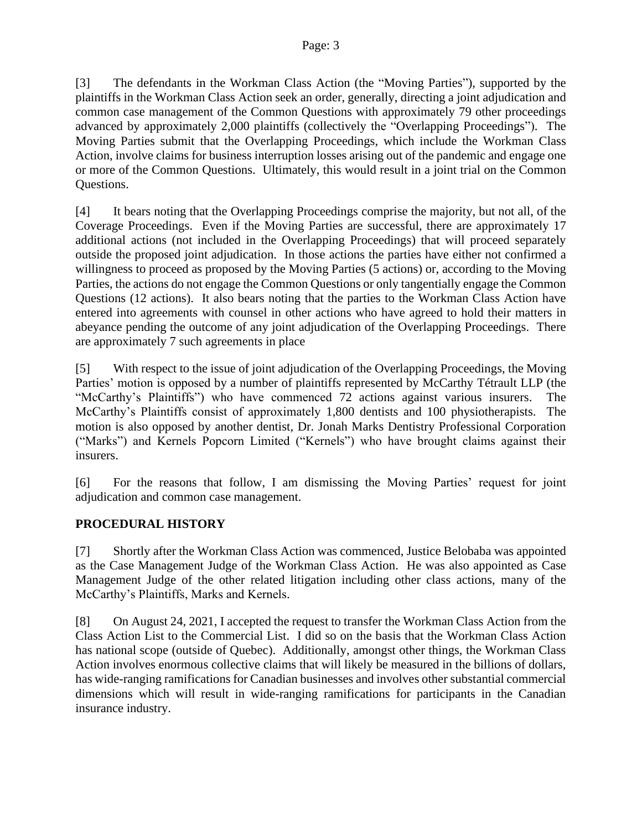[3] The defendants in the Workman Class Action (the "Moving Parties"), supported by the plaintiffs in the Workman Class Action seek an order, generally, directing a joint adjudication and common case management of the Common Questions with approximately 79 other proceedings advanced by approximately 2,000 plaintiffs (collectively the "Overlapping Proceedings"). The Moving Parties submit that the Overlapping Proceedings, which include the Workman Class Action, involve claims for business interruption losses arising out of the pandemic and engage one or more of the Common Questions. Ultimately, this would result in a joint trial on the Common Questions.

[4] It bears noting that the Overlapping Proceedings comprise the majority, but not all, of the Coverage Proceedings. Even if the Moving Parties are successful, there are approximately 17 additional actions (not included in the Overlapping Proceedings) that will proceed separately outside the proposed joint adjudication. In those actions the parties have either not confirmed a willingness to proceed as proposed by the Moving Parties (5 actions) or, according to the Moving Parties, the actions do not engage the Common Questions or only tangentially engage the Common Questions (12 actions). It also bears noting that the parties to the Workman Class Action have entered into agreements with counsel in other actions who have agreed to hold their matters in abeyance pending the outcome of any joint adjudication of the Overlapping Proceedings. There are approximately 7 such agreements in place

[5] With respect to the issue of joint adjudication of the Overlapping Proceedings, the Moving Parties' motion is opposed by a number of plaintiffs represented by McCarthy Tétrault LLP (the "McCarthy's Plaintiffs") who have commenced 72 actions against various insurers. The McCarthy's Plaintiffs consist of approximately 1,800 dentists and 100 physiotherapists. The motion is also opposed by another dentist, Dr. Jonah Marks Dentistry Professional Corporation ("Marks") and Kernels Popcorn Limited ("Kernels") who have brought claims against their insurers.

[6] For the reasons that follow, I am dismissing the Moving Parties' request for joint adjudication and common case management.

## **PROCEDURAL HISTORY**

[7] Shortly after the Workman Class Action was commenced, Justice Belobaba was appointed as the Case Management Judge of the Workman Class Action. He was also appointed as Case Management Judge of the other related litigation including other class actions, many of the McCarthy's Plaintiffs, Marks and Kernels.

[8] On August 24, 2021, I accepted the request to transfer the Workman Class Action from the Class Action List to the Commercial List. I did so on the basis that the Workman Class Action has national scope (outside of Quebec). Additionally, amongst other things, the Workman Class Action involves enormous collective claims that will likely be measured in the billions of dollars, has wide-ranging ramifications for Canadian businesses and involves other substantial commercial dimensions which will result in wide-ranging ramifications for participants in the Canadian insurance industry.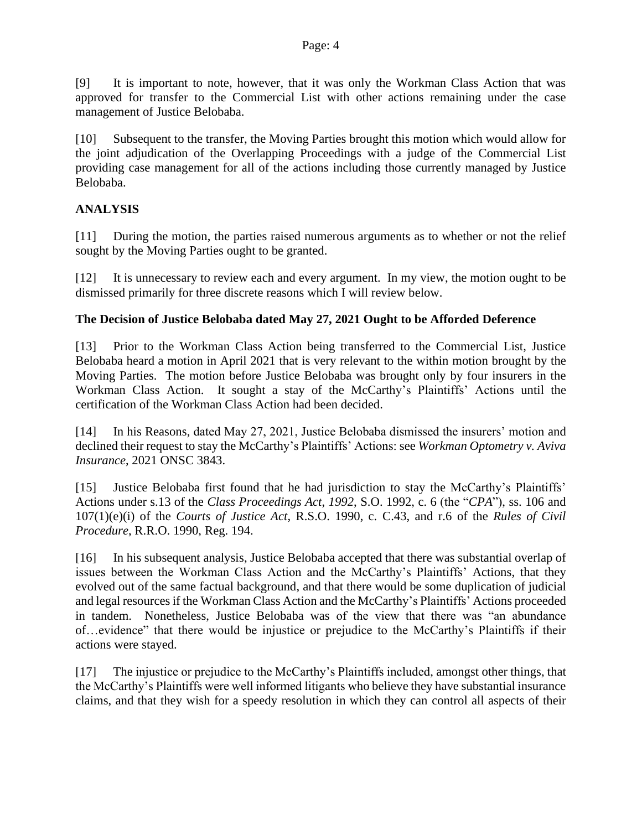[9] It is important to note, however, that it was only the Workman Class Action that was approved for transfer to the Commercial List with other actions remaining under the case management of Justice Belobaba.

[10] Subsequent to the transfer, the Moving Parties brought this motion which would allow for the joint adjudication of the Overlapping Proceedings with a judge of the Commercial List providing case management for all of the actions including those currently managed by Justice Belobaba.

## **ANALYSIS**

[11] During the motion, the parties raised numerous arguments as to whether or not the relief sought by the Moving Parties ought to be granted.

[12] It is unnecessary to review each and every argument. In my view, the motion ought to be dismissed primarily for three discrete reasons which I will review below.

## **The Decision of Justice Belobaba dated May 27, 2021 Ought to be Afforded Deference**

[13] Prior to the Workman Class Action being transferred to the Commercial List, Justice Belobaba heard a motion in April 2021 that is very relevant to the within motion brought by the Moving Parties. The motion before Justice Belobaba was brought only by four insurers in the Workman Class Action. It sought a stay of the McCarthy's Plaintiffs' Actions until the certification of the Workman Class Action had been decided.

[14] In his Reasons, dated May 27, 2021, Justice Belobaba dismissed the insurers' motion and declined their request to stay the McCarthy's Plaintiffs' Actions: see *Workman Optometry v. Aviva Insurance*, 2021 ONSC 3843.

[15] Justice Belobaba first found that he had jurisdiction to stay the McCarthy's Plaintiffs' Actions under s.13 of the *Class Proceedings Act*, *1992*, S.O. 1992, c. 6 (the "*CPA*"), ss. 106 and 107(1)(e)(i) of the *Courts of Justice Act*, R.S.O. 1990, c. C.43, and r.6 of the *Rules of Civil Procedure*, R.R.O. 1990, Reg. 194.

[16] In his subsequent analysis, Justice Belobaba accepted that there was substantial overlap of issues between the Workman Class Action and the McCarthy's Plaintiffs' Actions, that they evolved out of the same factual background, and that there would be some duplication of judicial and legal resources if the Workman Class Action and the McCarthy's Plaintiffs' Actions proceeded in tandem. Nonetheless, Justice Belobaba was of the view that there was "an abundance of…evidence" that there would be injustice or prejudice to the McCarthy's Plaintiffs if their actions were stayed.

[17] The injustice or prejudice to the McCarthy's Plaintiffs included, amongst other things, that the McCarthy's Plaintiffs were well informed litigants who believe they have substantial insurance claims, and that they wish for a speedy resolution in which they can control all aspects of their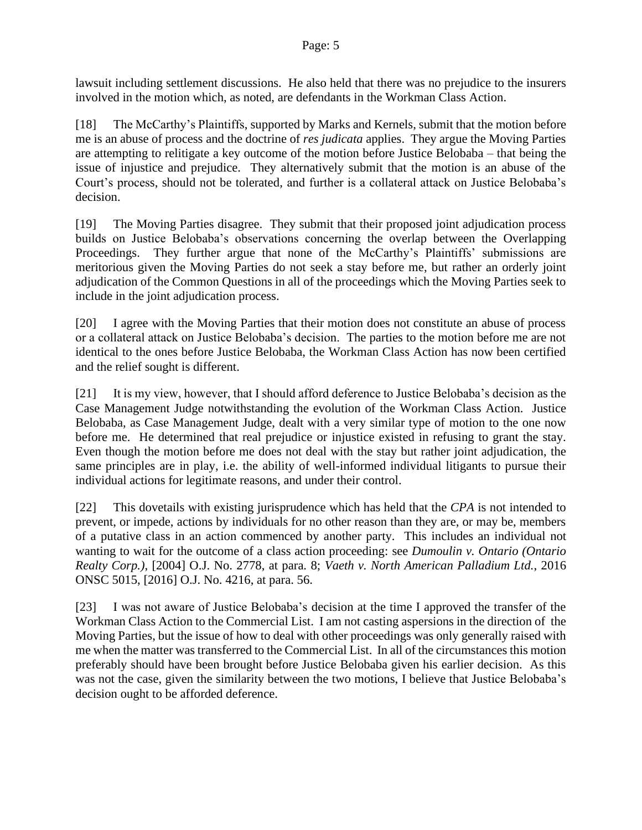lawsuit including settlement discussions. He also held that there was no prejudice to the insurers involved in the motion which, as noted, are defendants in the Workman Class Action.

[18] The McCarthy's Plaintiffs, supported by Marks and Kernels, submit that the motion before me is an abuse of process and the doctrine of *res judicata* applies. They argue the Moving Parties are attempting to relitigate a key outcome of the motion before Justice Belobaba – that being the issue of injustice and prejudice. They alternatively submit that the motion is an abuse of the Court's process, should not be tolerated, and further is a collateral attack on Justice Belobaba's decision.

[19] The Moving Parties disagree. They submit that their proposed joint adjudication process builds on Justice Belobaba's observations concerning the overlap between the Overlapping Proceedings. They further argue that none of the McCarthy's Plaintiffs' submissions are meritorious given the Moving Parties do not seek a stay before me, but rather an orderly joint adjudication of the Common Questions in all of the proceedings which the Moving Parties seek to include in the joint adjudication process.

[20] I agree with the Moving Parties that their motion does not constitute an abuse of process or a collateral attack on Justice Belobaba's decision. The parties to the motion before me are not identical to the ones before Justice Belobaba, the Workman Class Action has now been certified and the relief sought is different.

[21] It is my view, however, that I should afford deference to Justice Belobaba's decision as the Case Management Judge notwithstanding the evolution of the Workman Class Action. Justice Belobaba, as Case Management Judge, dealt with a very similar type of motion to the one now before me. He determined that real prejudice or injustice existed in refusing to grant the stay. Even though the motion before me does not deal with the stay but rather joint adjudication, the same principles are in play, i.e. the ability of well-informed individual litigants to pursue their individual actions for legitimate reasons, and under their control.

[22] This dovetails with existing jurisprudence which has held that the *CPA* is not intended to prevent, or impede, actions by individuals for no other reason than they are, or may be, members of a putative class in an action commenced by another party. This includes an individual not wanting to wait for the outcome of a class action proceeding: see *Dumoulin v. Ontario (Ontario Realty Corp.)*, [2004] O.J. No. 2778, at para. 8; *Vaeth v. North American Palladium Ltd.*, 2016 ONSC 5015, [2016] O.J. No. 4216, at para. 56.

[23] I was not aware of Justice Belobaba's decision at the time I approved the transfer of the Workman Class Action to the Commercial List. I am not casting aspersions in the direction of the Moving Parties, but the issue of how to deal with other proceedings was only generally raised with me when the matter was transferred to the Commercial List. In all of the circumstances this motion preferably should have been brought before Justice Belobaba given his earlier decision. As this was not the case, given the similarity between the two motions, I believe that Justice Belobaba's decision ought to be afforded deference.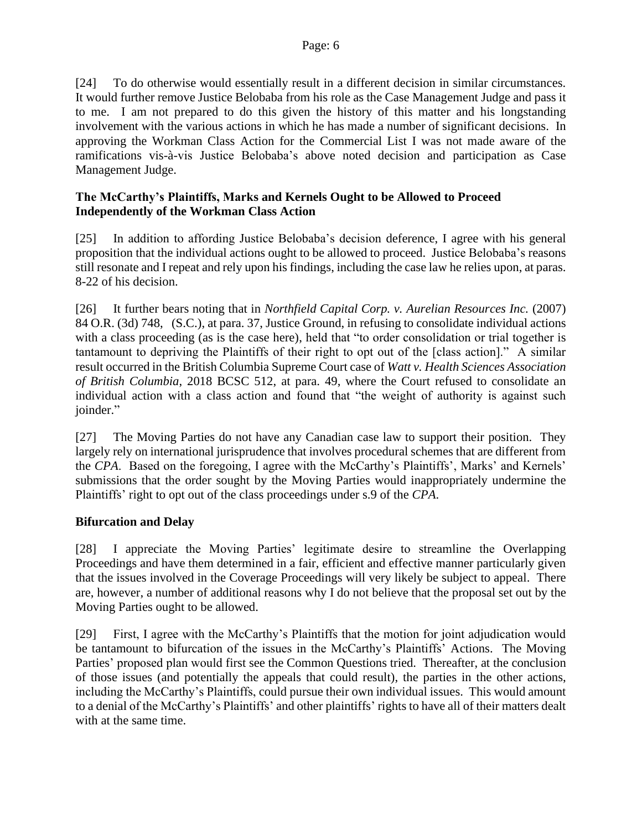[24] To do otherwise would essentially result in a different decision in similar circumstances. It would further remove Justice Belobaba from his role as the Case Management Judge and pass it to me. I am not prepared to do this given the history of this matter and his longstanding involvement with the various actions in which he has made a number of significant decisions. In approving the Workman Class Action for the Commercial List I was not made aware of the ramifications vis-à-vis Justice Belobaba's above noted decision and participation as Case Management Judge.

## **The McCarthy's Plaintiffs, Marks and Kernels Ought to be Allowed to Proceed Independently of the Workman Class Action**

[25] In addition to affording Justice Belobaba's decision deference, I agree with his general proposition that the individual actions ought to be allowed to proceed. Justice Belobaba's reasons still resonate and I repeat and rely upon his findings, including the case law he relies upon, at paras. 8-22 of his decision.

[26] It further bears noting that in *Northfield Capital Corp. v. Aurelian Resources Inc.* (2007) 84 O.R. (3d) 748, (S.C.), at para. 37, Justice Ground, in refusing to consolidate individual actions with a class proceeding (as is the case here), held that "to order consolidation or trial together is tantamount to depriving the Plaintiffs of their right to opt out of the [class action]." A similar result occurred in the British Columbia Supreme Court case of *Watt v. Health Sciences Association of British Columbia*, 2018 BCSC 512, at para. 49, where the Court refused to consolidate an individual action with a class action and found that "the weight of authority is against such joinder."

[27] The Moving Parties do not have any Canadian case law to support their position. They largely rely on international jurisprudence that involves procedural schemes that are different from the *CPA*. Based on the foregoing, I agree with the McCarthy's Plaintiffs', Marks' and Kernels' submissions that the order sought by the Moving Parties would inappropriately undermine the Plaintiffs' right to opt out of the class proceedings under s.9 of the *CPA*.

## **Bifurcation and Delay**

[28] I appreciate the Moving Parties' legitimate desire to streamline the Overlapping Proceedings and have them determined in a fair, efficient and effective manner particularly given that the issues involved in the Coverage Proceedings will very likely be subject to appeal. There are, however, a number of additional reasons why I do not believe that the proposal set out by the Moving Parties ought to be allowed.

[29] First, I agree with the McCarthy's Plaintiffs that the motion for joint adjudication would be tantamount to bifurcation of the issues in the McCarthy's Plaintiffs' Actions. The Moving Parties' proposed plan would first see the Common Questions tried. Thereafter, at the conclusion of those issues (and potentially the appeals that could result), the parties in the other actions, including the McCarthy's Plaintiffs, could pursue their own individual issues. This would amount to a denial of the McCarthy's Plaintiffs' and other plaintiffs' rights to have all of their matters dealt with at the same time.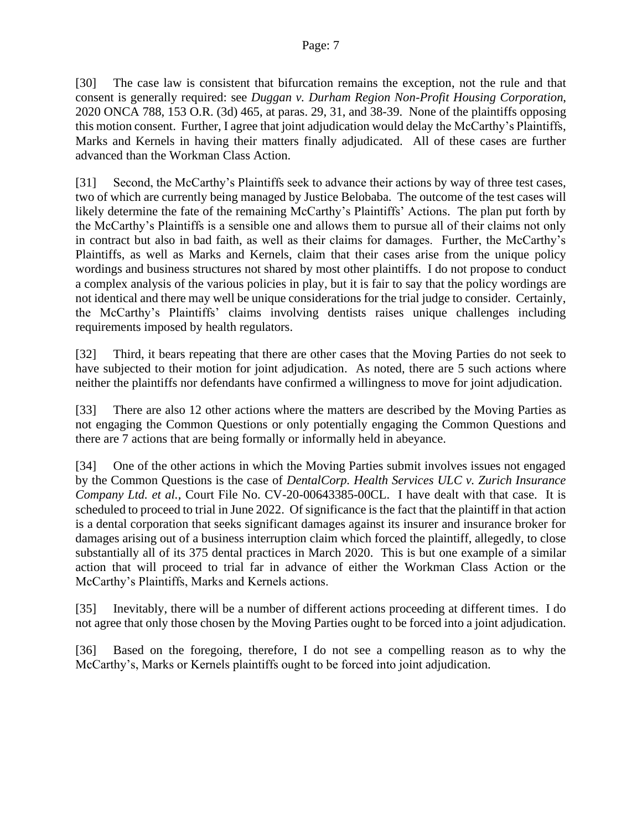[30] The case law is consistent that bifurcation remains the exception, not the rule and that consent is generally required: see *Duggan v. Durham Region Non-Profit Housing Corporation*, 2020 ONCA 788, 153 O.R. (3d) 465, at paras. 29, 31, and 38-39. None of the plaintiffs opposing this motion consent. Further, I agree that joint adjudication would delay the McCarthy's Plaintiffs, Marks and Kernels in having their matters finally adjudicated. All of these cases are further advanced than the Workman Class Action.

[31] Second, the McCarthy's Plaintiffs seek to advance their actions by way of three test cases, two of which are currently being managed by Justice Belobaba. The outcome of the test cases will likely determine the fate of the remaining McCarthy's Plaintiffs' Actions. The plan put forth by the McCarthy's Plaintiffs is a sensible one and allows them to pursue all of their claims not only in contract but also in bad faith, as well as their claims for damages. Further, the McCarthy's Plaintiffs, as well as Marks and Kernels, claim that their cases arise from the unique policy wordings and business structures not shared by most other plaintiffs. I do not propose to conduct a complex analysis of the various policies in play, but it is fair to say that the policy wordings are not identical and there may well be unique considerations for the trial judge to consider. Certainly, the McCarthy's Plaintiffs' claims involving dentists raises unique challenges including requirements imposed by health regulators.

[32] Third, it bears repeating that there are other cases that the Moving Parties do not seek to have subjected to their motion for joint adjudication. As noted, there are 5 such actions where neither the plaintiffs nor defendants have confirmed a willingness to move for joint adjudication.

[33] There are also 12 other actions where the matters are described by the Moving Parties as not engaging the Common Questions or only potentially engaging the Common Questions and there are 7 actions that are being formally or informally held in abeyance.

[34] One of the other actions in which the Moving Parties submit involves issues not engaged by the Common Questions is the case of *DentalCorp. Health Services ULC v. Zurich Insurance Company Ltd. et al.*, Court File No. CV-20-00643385-00CL. I have dealt with that case. It is scheduled to proceed to trial in June 2022. Of significance is the fact that the plaintiff in that action is a dental corporation that seeks significant damages against its insurer and insurance broker for damages arising out of a business interruption claim which forced the plaintiff, allegedly, to close substantially all of its 375 dental practices in March 2020. This is but one example of a similar action that will proceed to trial far in advance of either the Workman Class Action or the McCarthy's Plaintiffs, Marks and Kernels actions.

[35] Inevitably, there will be a number of different actions proceeding at different times. I do not agree that only those chosen by the Moving Parties ought to be forced into a joint adjudication.

[36] Based on the foregoing, therefore, I do not see a compelling reason as to why the McCarthy's, Marks or Kernels plaintiffs ought to be forced into joint adjudication.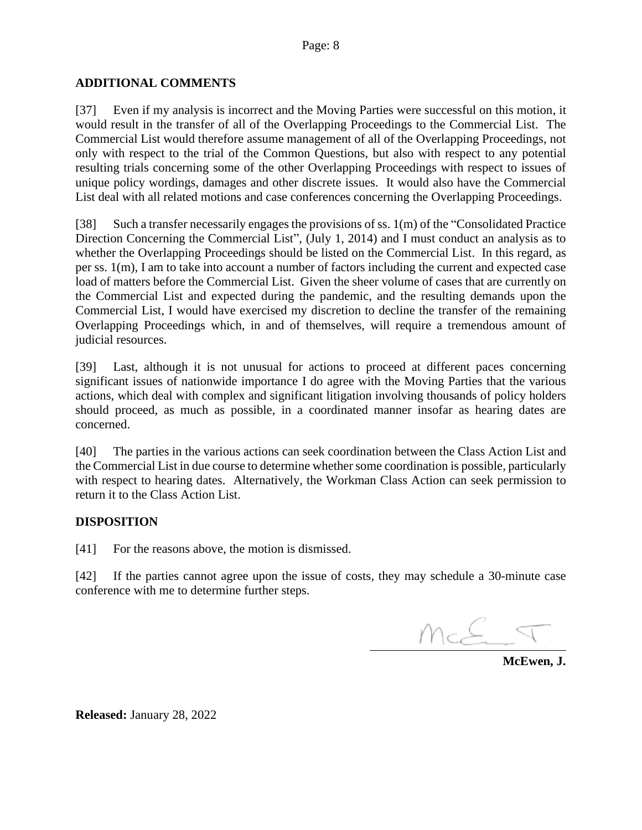## **ADDITIONAL COMMENTS**

[37] Even if my analysis is incorrect and the Moving Parties were successful on this motion, it would result in the transfer of all of the Overlapping Proceedings to the Commercial List. The Commercial List would therefore assume management of all of the Overlapping Proceedings, not only with respect to the trial of the Common Questions, but also with respect to any potential resulting trials concerning some of the other Overlapping Proceedings with respect to issues of unique policy wordings, damages and other discrete issues. It would also have the Commercial List deal with all related motions and case conferences concerning the Overlapping Proceedings.

[38] Such a transfer necessarily engages the provisions of ss. 1(m) of the "Consolidated Practice Direction Concerning the Commercial List", (July 1, 2014) and I must conduct an analysis as to whether the Overlapping Proceedings should be listed on the Commercial List. In this regard, as per ss. 1(m), I am to take into account a number of factors including the current and expected case load of matters before the Commercial List. Given the sheer volume of cases that are currently on the Commercial List and expected during the pandemic, and the resulting demands upon the Commercial List, I would have exercised my discretion to decline the transfer of the remaining Overlapping Proceedings which, in and of themselves, will require a tremendous amount of judicial resources.

[39] Last, although it is not unusual for actions to proceed at different paces concerning significant issues of nationwide importance I do agree with the Moving Parties that the various actions, which deal with complex and significant litigation involving thousands of policy holders should proceed, as much as possible, in a coordinated manner insofar as hearing dates are concerned.

[40] The parties in the various actions can seek coordination between the Class Action List and the Commercial List in due course to determine whether some coordination is possible, particularly with respect to hearing dates. Alternatively, the Workman Class Action can seek permission to return it to the Class Action List.

## **DISPOSITION**

[41] For the reasons above, the motion is dismissed.

[42] If the parties cannot agree upon the issue of costs, they may schedule a 30-minute case conference with me to determine further steps.

McE

**McEwen, J.**

**Released:** January 28, 2022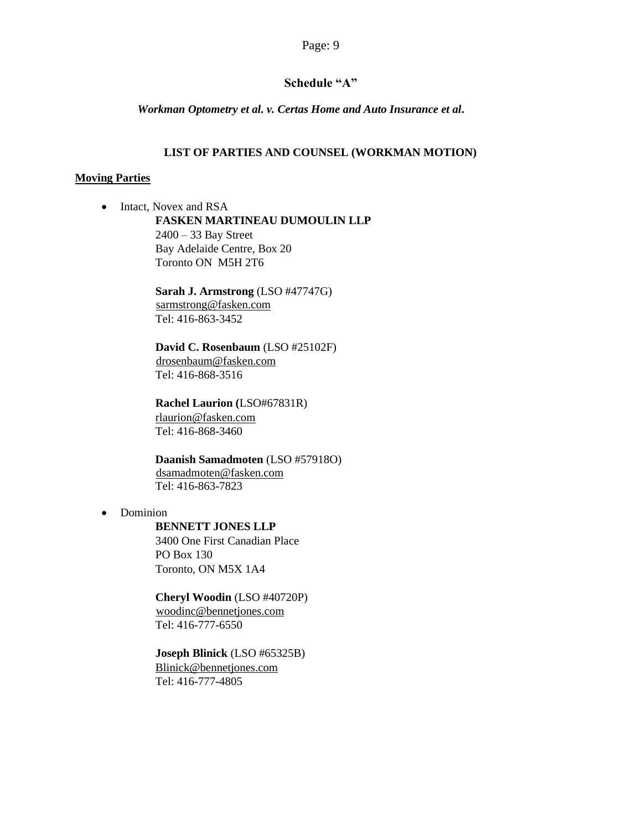## **Schedule "A"**

*Workman Optometry et al. v. Certas Home and Auto Insurance et al***.**

#### **LIST OF PARTIES AND COUNSEL (WORKMAN MOTION)**

#### **Moving Parties**

• Intact, Novex and RSA **FASKEN MARTINEAU DUMOULIN LLP**   $2400 - 33$  Bay Street Bay Adelaide Centre, Box 20 Toronto ON M5H 2T6

> **Sarah J. Armstrong** (LSO #47747G) sarmstrong@fasken.com Tel: 416-863-3452

**David C. Rosenbaum** (LSO #25102F) drosenbaum@fasken.com Tel: 416-868-3516

**Rachel Laurion (**LSO#67831R) rlaurion@fasken.com Tel: 416-868-3460

**Daanish Samadmoten** (LSO #57918O) dsamadmoten@fasken.com Tel: 416-863-7823

• Dominion

**BENNETT JONES LLP**  3400 One First Canadian Place

PO Box 130 Toronto, ON M5X 1A4

**Cheryl Woodin** (LSO #40720P) woodinc@bennetjones.com Tel: 416-777-6550

**Joseph Blinick** (LSO #65325B) Blinick@bennetjones.com Tel: 416-777-4805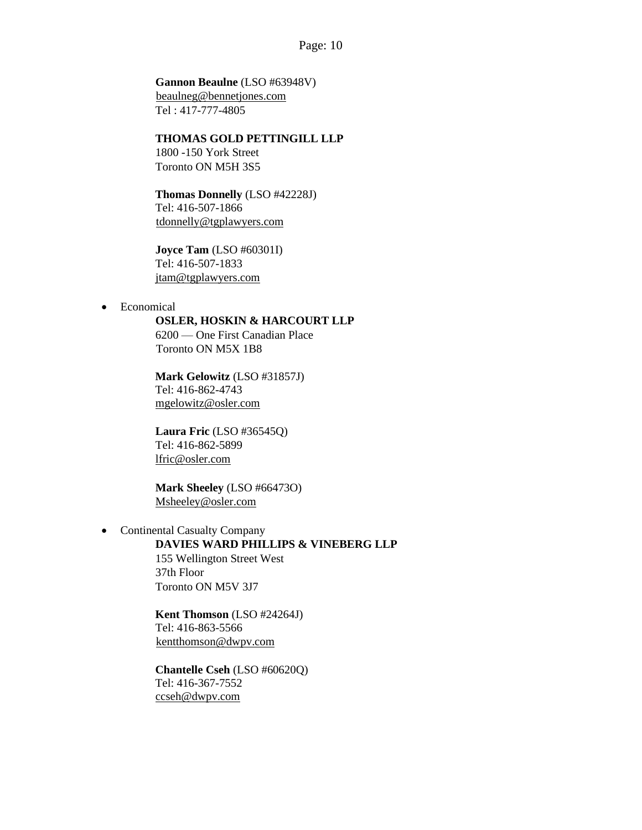## **Gannon Beaulne** (LSO #63948V)

beaulneg@bennetjones.com Tel : 417-777-4805

### **THOMAS GOLD PETTINGILL LLP**

1800 -150 York Street Toronto ON M5H 3S5

# **Thomas Donnelly** (LSO #42228J)

Tel: 416-507-1866 tdonnelly@tgplawyers.com

**Joyce Tam** (LSO #60301I) Tel: 416-507-1833 jtam@tgplawyers.com

• Economical

#### **OSLER, HOSKIN & HARCOURT LLP**

6200 — One First Canadian Place Toronto ON M5X 1B8

**Mark Gelowitz** (LSO #31857J) Tel: 416-862-4743 mgelowitz@osler.com

**Laura Fric** (LSO #36545Q) Tel: 416-862-5899 lfric@osler.com

**Mark Sheeley** (LSO #66473O) Msheeley@osler.com

## • Continental Casualty Company

# **DAVIES WARD PHILLIPS & VINEBERG LLP**

155 Wellington Street West 37th Floor Toronto ON M5V 3J7

**Kent Thomson** (LSO #24264J) Tel: 416-863-5566 kentthomson@dwpv.com

**Chantelle Cseh** (LSO #60620Q) Tel: 416-367-7552 ccseh@dwpv.com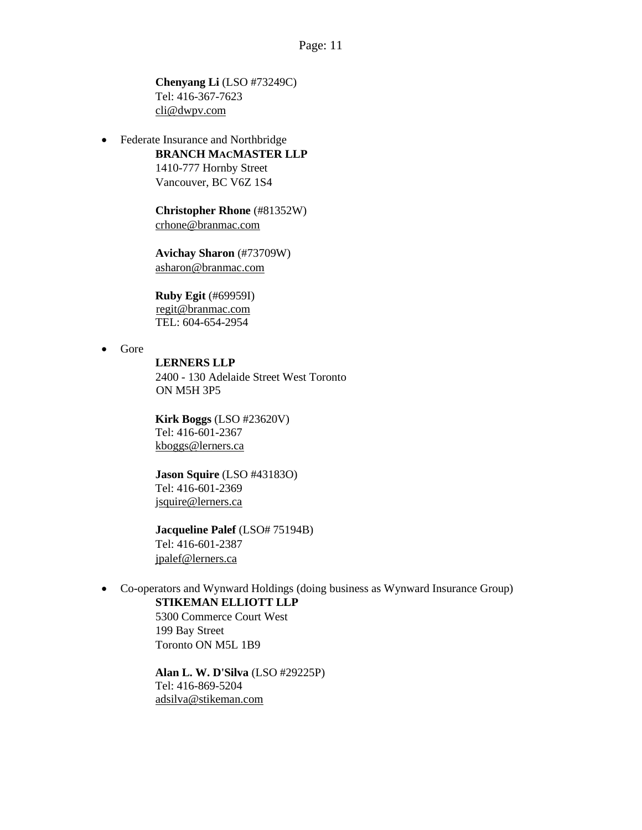**Chenyang Li** (LSO #73249C) Tel: 416-367-7623 cli@dwpv.com

• Federate Insurance and Northbridge

#### **BRANCH MACMASTER LLP**

1410-777 Hornby Street Vancouver, BC V6Z 1S4

**Christopher Rhone** (#81352W) crhone@branmac.com

**Avichay Sharon** (#73709W) asharon@branmac.com

**Ruby Egit** (#69959I) regit@branmac.com TEL: 604-654-2954

• Gore

#### **LERNERS LLP**

2400 - 130 Adelaide Street West Toronto ON M5H 3P5

**Kirk Boggs** (LSO #23620V) Tel: 416-601-2367 kboggs@lerners.ca

**Jason Squire** (LSO #43183O) Tel: 416-601-2369 jsquire@lerners.ca

**Jacqueline Palef** (LSO# 75194B) Tel: 416-601-2387 jpalef@lerners.ca

• Co-operators and Wynward Holdings (doing business as Wynward Insurance Group) **STIKEMAN ELLIOTT LLP** 

> 5300 Commerce Court West 199 Bay Street Toronto ON M5L 1B9

**Alan L. W. D'Silva** (LSO #29225P) Tel: 416-869-5204 adsilva@stikeman.com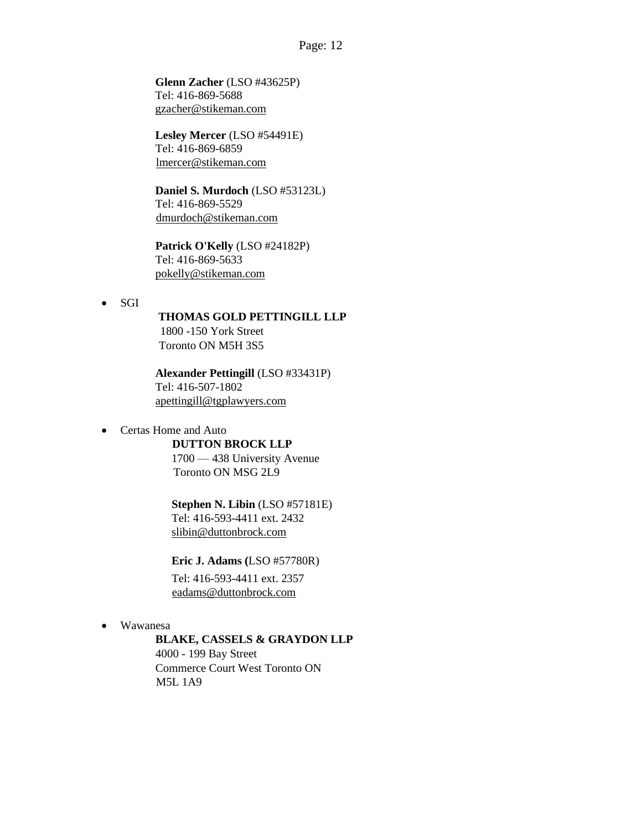**Glenn Zacher** (LSO #43625P) Tel: 416-869-5688 gzacher@stikeman.com

**Lesley Mercer** (LSO #54491E) Tel: 416-869-6859 lmercer@stikeman.com

**Daniel S. Murdoch** (LSO #53123L) Tel: 416-869-5529 dmurdoch@stikeman.com

**Patrick O'Kelly** (LSO #24182P) Tel: 416-869-5633 pokelly@stikeman.com

• SGI

# **THOMAS GOLD PETTINGILL LLP**

1800 -150 York Street Toronto ON M5H 3S5

**Alexander Pettingill** (LSO #33431P) Tel: 416-507-1802 apettingill@tgplawyers.com

• Certas Home and Auto

**DUTTON BROCK LLP**  1700 — 438 University Avenue

Toronto ON MSG 2L9

**Stephen N. Libin** (LSO #57181E) Tel: 416-593-4411 ext. 2432

slibin@duttonbrock.com

**Eric J. Adams (**LSO #57780R)

Tel: 416-593-4411 ext. 2357 eadams@duttonbrock.com

• Wawanesa

### **BLAKE, CASSELS & GRAYDON LLP**

4000 - 199 Bay Street Commerce Court West Toronto ON M5L 1A9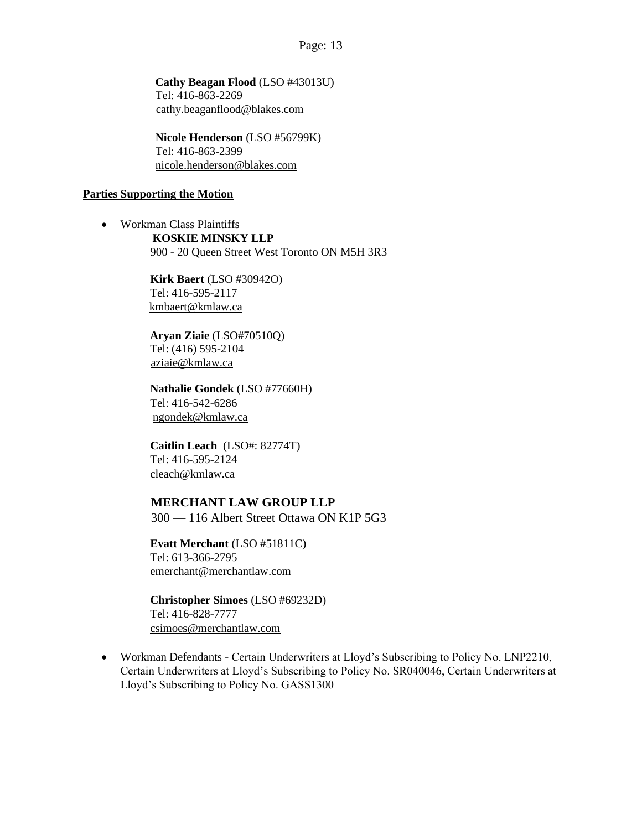**Cathy Beagan Flood** (LSO #43013U) Tel: 416-863-2269 cathy.beaganflood@blakes.com

**Nicole Henderson** (LSO #56799K) Tel: 416-863-2399 nicole.henderson@blakes.com

#### **Parties Supporting the Motion**

• Workman Class Plaintiffs **KOSKIE MINSKY LLP**  900 - 20 Queen Street West Toronto ON M5H 3R3

> **Kirk Baert** (LSO #30942O) Tel: 416-595-2117 kmbaert@kmlaw.ca

**Aryan Ziaie** (LSO#70510Q) Tel: (416) 595-2104 aziaie@kmlaw.ca

**Nathalie Gondek** (LSO #77660H) Tel: 416-542-6286 ngondek@kmlaw.ca

**Caitlin Leach** (LSO#: 82774T) Tel: 416-595-2124 cleach@kmlaw.ca

## **MERCHANT LAW GROUP LLP**

300 — 116 Albert Street Ottawa ON K1P 5G3

**Evatt Merchant** (LSO #51811C) Tel: 613-366-2795 emerchant@merchantlaw.com

**Christopher Simoes** (LSO #69232D) Tel: 416-828-7777 csimoes@merchantlaw.com

• Workman Defendants - Certain Underwriters at Lloyd's Subscribing to Policy No. LNP2210, Certain Underwriters at Lloyd's Subscribing to Policy No. SR040046, Certain Underwriters at Lloyd's Subscribing to Policy No. GASS1300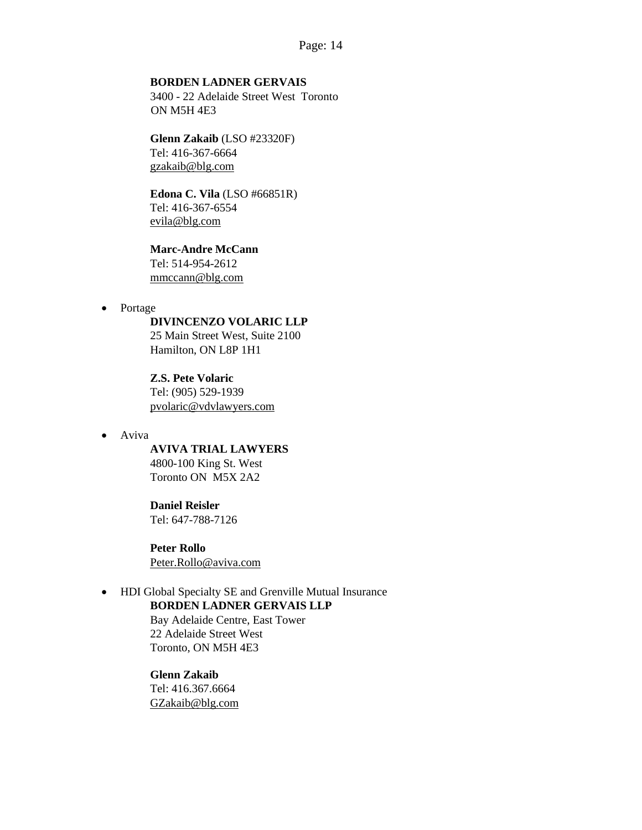#### **BORDEN LADNER GERVAIS**

3400 - 22 Adelaide Street West Toronto ON M5H 4E3

## **Glenn Zakaib** (LSO #23320F)

Tel: 416-367-6664 gzakaib@blg.com

## **Edona C. Vila** (LSO #66851R) Tel: 416-367-6554

evila@blg.com

## **Marc-Andre McCann**

Tel: 514-954-2612 mmccann@blg.com

• Portage

#### **DIVINCENZO VOLARIC LLP**

25 Main Street West, Suite 2100 Hamilton, ON L8P 1H1

**Z.S. Pete Volaric**  Tel: (905) 529-1939 pvolaric@vdvlawyers.com

• Aviva

**AVIVA TRIAL LAWYERS** 4800-100 King St. West Toronto ON M5X 2A2

#### **Daniel Reisler**

Tel: 647-788-7126

**Peter Rollo**  Peter.Rollo@aviva.com

## • HDI Global Specialty SE and Grenville Mutual Insurance **BORDEN LADNER GERVAIS LLP**

Bay Adelaide Centre, East Tower 22 Adelaide Street West Toronto, ON M5H 4E3

### **Glenn Zakaib**

Tel: 416.367.6664 GZakaib@blg.com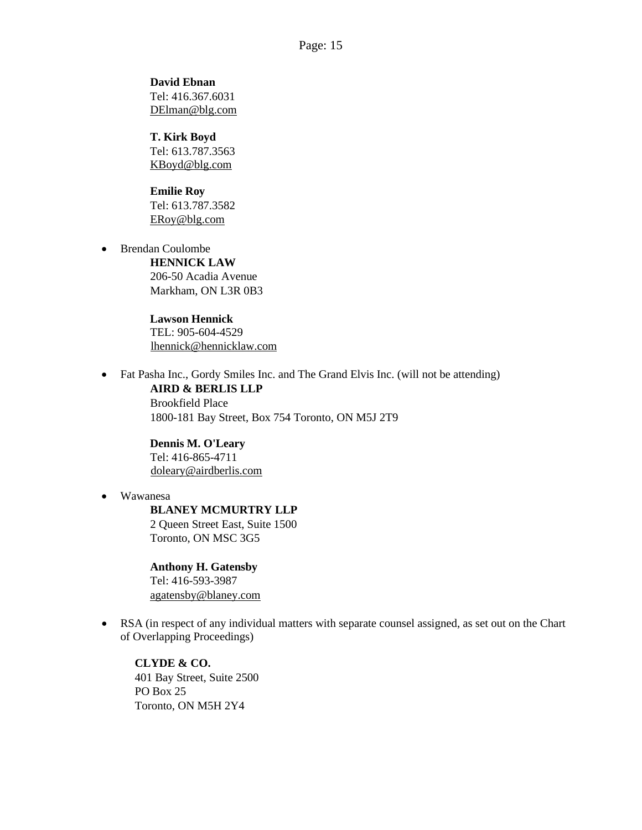**David Ebnan**  Tel: 416.367.6031 DElman@blg.com

**T. Kirk Boyd**  Tel: 613.787.3563 KBoyd@blg.com

**Emilie Roy**  Tel: 613.787.3582 ERoy@blg.com

• Brendan Coulombe **HENNICK LAW** 

206-50 Acadia Avenue Markham, ON L3R 0B3

**Lawson Hennick** TEL: 905-604-4529 lhennick@hennicklaw.com

• Fat Pasha Inc., Gordy Smiles Inc. and The Grand Elvis Inc. (will not be attending) **AIRD & BERLIS LLP** 

> Brookfield Place 1800-181 Bay Street, Box 754 Toronto, ON M5J 2T9

**Dennis M. O'Leary**  Tel: 416-865-4711 doleary@airdberlis.com

• Wawanesa

**BLANEY MCMURTRY LLP** 2 Queen Street East, Suite 1500 Toronto, ON MSC 3G5

**Anthony H. Gatensby**  Tel: 416-593-3987 agatensby@blaney.com

• RSA (in respect of any individual matters with separate counsel assigned, as set out on the Chart of Overlapping Proceedings)

**CLYDE & CO.**  401 Bay Street, Suite 2500 PO Box 25 Toronto, ON M5H 2Y4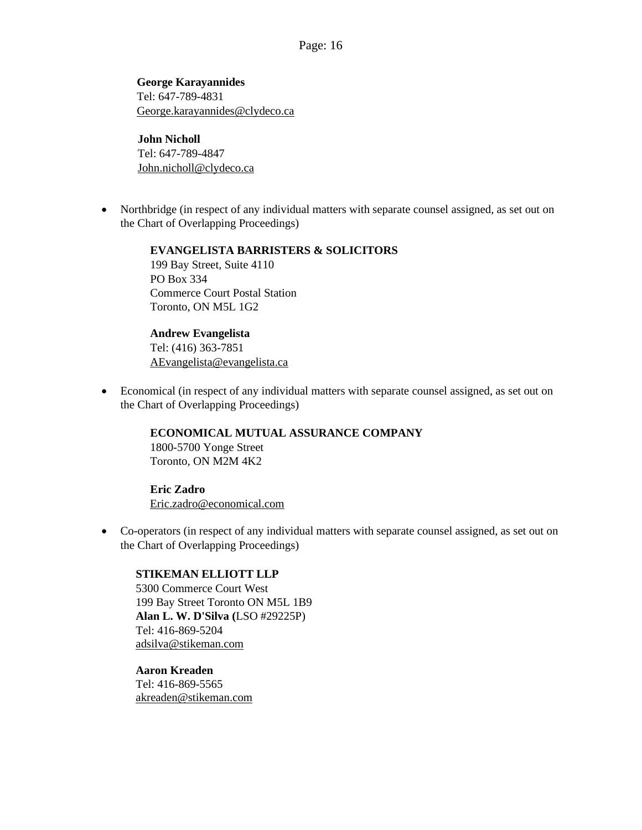**George Karayannides**  Tel: 647-789-4831 George.karayannides@clydeco.ca

## **John Nicholl**  Tel: 647-789-4847 John.nicholl@clydeco.ca

• Northbridge (in respect of any individual matters with separate counsel assigned, as set out on the Chart of Overlapping Proceedings)

> **EVANGELISTA BARRISTERS & SOLICITORS**  199 Bay Street, Suite 4110 PO Box 334 Commerce Court Postal Station Toronto, ON M5L 1G2

**Andrew Evangelista**  Tel: (416) 363-7851 AEvangelista@evangelista.ca

• Economical (in respect of any individual matters with separate counsel assigned, as set out on the Chart of Overlapping Proceedings)

**ECONOMICAL MUTUAL ASSURANCE COMPANY**

1800-5700 Yonge Street Toronto, ON M2M 4K2

# **Eric Zadro**

Eric.zadro@economical.com

• Co-operators (in respect of any individual matters with separate counsel assigned, as set out on the Chart of Overlapping Proceedings)

## **STIKEMAN ELLIOTT LLP**

5300 Commerce Court West 199 Bay Street Toronto ON M5L 1B9 **Alan L. W. D'Silva (**LSO #29225P) Tel: 416-869-5204 adsilva@stikeman.com

**Aaron Kreaden**  Tel: 416-869-5565 akreaden@stikeman.com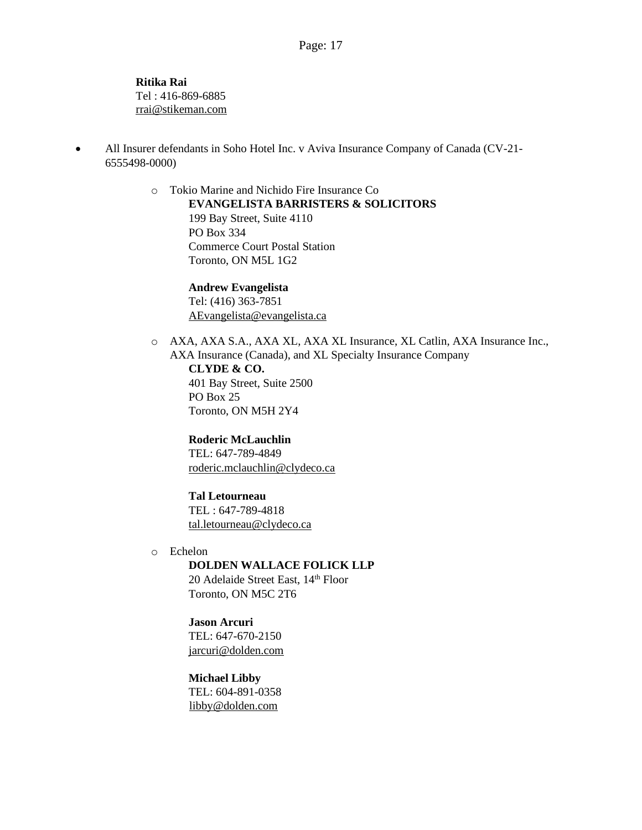**Ritika Rai** Tel : 416-869-6885 rrai@stikeman.com

• All Insurer defendants in Soho Hotel Inc. v Aviva Insurance Company of Canada (CV-21-6555498-0000)

> o Tokio Marine and Nichido Fire Insurance Co **EVANGELISTA BARRISTERS & SOLICITORS**  199 Bay Street, Suite 4110 PO Box 334 Commerce Court Postal Station Toronto, ON M5L 1G2

> > **Andrew Evangelista**  Tel: (416) 363-7851 AEvangelista@evangelista.ca

o AXA, AXA S.A., AXA XL, AXA XL Insurance, XL Catlin, AXA Insurance Inc., AXA Insurance (Canada), and XL Specialty Insurance Company **CLYDE & CO.**  401 Bay Street, Suite 2500 PO Box 25 Toronto, ON M5H 2Y4

**Roderic McLauchlin** TEL: 647-789-4849 roderic.mclauchlin@clydeco.ca

**Tal Letourneau**  TEL : 647-789-4818 tal.letourneau@clydeco.ca

o Echelon **DOLDEN WALLACE FOLICK LLP**

20 Adelaide Street East, 14<sup>th</sup> Floor Toronto, ON M5C 2T6

**Jason Arcuri** TEL: 647-670-2150 jarcuri@dolden.com

**Michael Libby** TEL: 604-891-0358 libby@dolden.com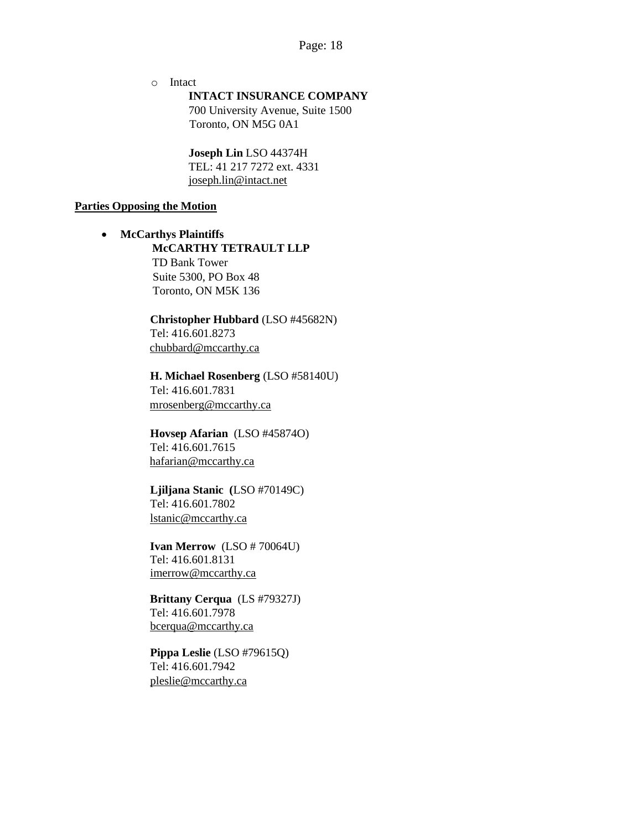o Intact

**INTACT INSURANCE COMPANY**

700 University Avenue, Suite 1500 Toronto, ON M5G 0A1

**Joseph Lin** LSO 44374H TEL: 41 217 7272 ext. 4331 joseph.lin@intact.net

#### **Parties Opposing the Motion**

• **McCarthys Plaintiffs McCARTHY TETRAULT LLP**  TD Bank Tower Suite 5300, PO Box 48 Toronto, ON M5K 136

> **Christopher Hubbard** (LSO #45682N) Tel: 416.601.8273 chubbard@mccarthy.ca

> **H. Michael Rosenberg** (LSO #58140U) Tel: 416.601.7831 mrosenberg@mccarthy.ca

**Hovsep Afarian** (LSO #45874O) Tel: 416.601.7615 hafarian@mccarthy.ca

**Ljiljana Stanic (**LSO #70149C) Tel: 416.601.7802 lstanic@mccarthy.ca

**Ivan Merrow** (LSO # 70064U) Tel: 416.601.8131 imerrow@mccarthy.ca

**Brittany Cerqua** (LS #79327J) Tel: 416.601.7978 bcerqua@mccarthy.ca

**Pippa Leslie** (LSO #79615Q) Tel: 416.601.7942 pleslie@mccarthy.ca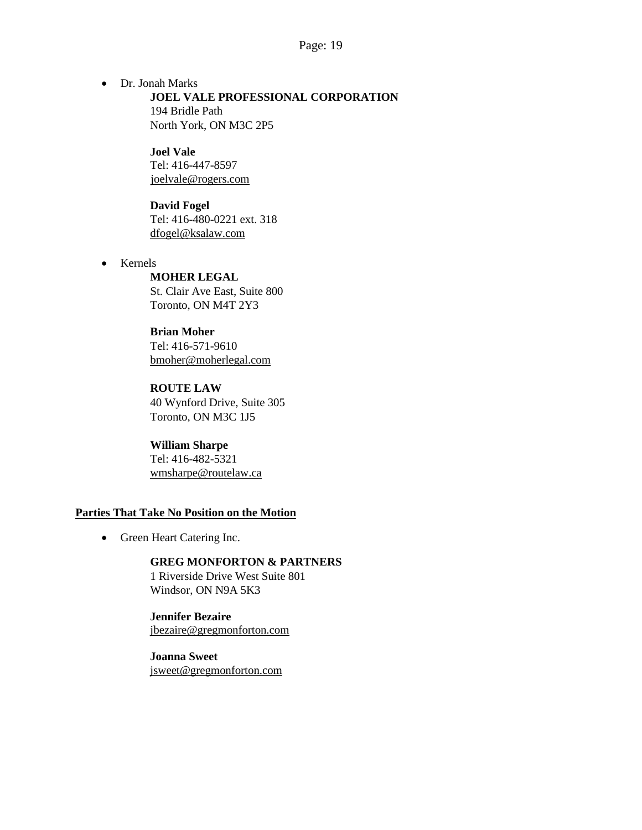• Dr. Jonah Marks **JOEL VALE PROFESSIONAL CORPORATION**  194 Bridle Path North York, ON M3C 2P5

> **Joel Vale**  Tel: 416-447-8597 joelvale@rogers.com

**David Fogel**  Tel: 416-480-0221 ext. 318 dfogel@ksalaw.com

• Kernels

## **MOHER LEGAL**

St. Clair Ave East, Suite 800 Toronto, ON M4T 2Y3

#### **Brian Moher**

Tel: 416-571-9610 bmoher@moherlegal.com

**ROUTE LAW** 40 Wynford Drive, Suite 305 Toronto, ON M3C 1J5

**William Sharpe** Tel: 416-482-5321 wmsharpe@routelaw.ca

#### **Parties That Take No Position on the Motion**

• Green Heart Catering Inc.

## **GREG MONFORTON & PARTNERS**  1 Riverside Drive West Suite 801

Windsor, ON N9A 5K3

### **Jennifer Bezaire**  jbezaire@gregmonforton.com

**Joanna Sweet**  jsweet@gregmonforton.com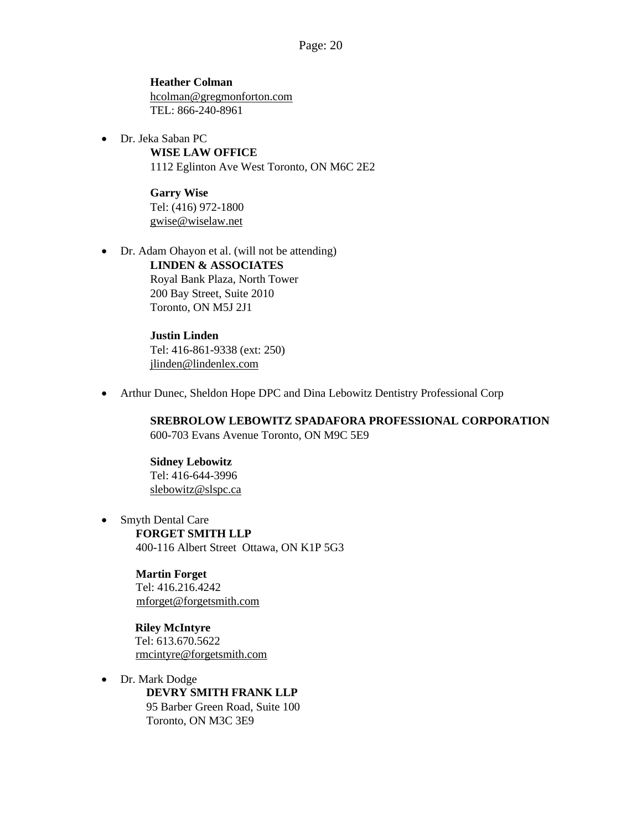**Heather Colman**  hcolman@gregmonforton.com TEL: 866-240-8961

• Dr. Jeka Saban PC **WISE LAW OFFICE**  1112 Eglinton Ave West Toronto, ON M6C 2E2

> **Garry Wise**  Tel: (416) 972-1800 gwise@wiselaw.net

• Dr. Adam Ohayon et al. (will not be attending) **LINDEN & ASSOCIATES** Royal Bank Plaza, North Tower 200 Bay Street, Suite 2010 Toronto, ON M5J 2J1

> **Justin Linden**  Tel: 416-861-9338 (ext: 250) jlinden@lindenlex.com

• Arthur Dunec, Sheldon Hope DPC and Dina Lebowitz Dentistry Professional Corp

**SREBROLOW LEBOWITZ SPADAFORA PROFESSIONAL CORPORATION** 600-703 Evans Avenue Toronto, ON M9C 5E9

**Sidney Lebowitz** Tel: 416-644-3996 slebowitz@slspc.ca

• Smyth Dental Care **FORGET SMITH LLP**  400-116 Albert Street Ottawa, ON K1P 5G3

> **Martin Forget**  Tel: 416.216.4242 mforget@forgetsmith.com

**Riley McIntyre**  Tel: 613.670.5622 rmcintyre@forgetsmith.com

• Dr. Mark Dodge **DEVRY SMITH FRANK LLP**  95 Barber Green Road, Suite 100 Toronto, ON M3C 3E9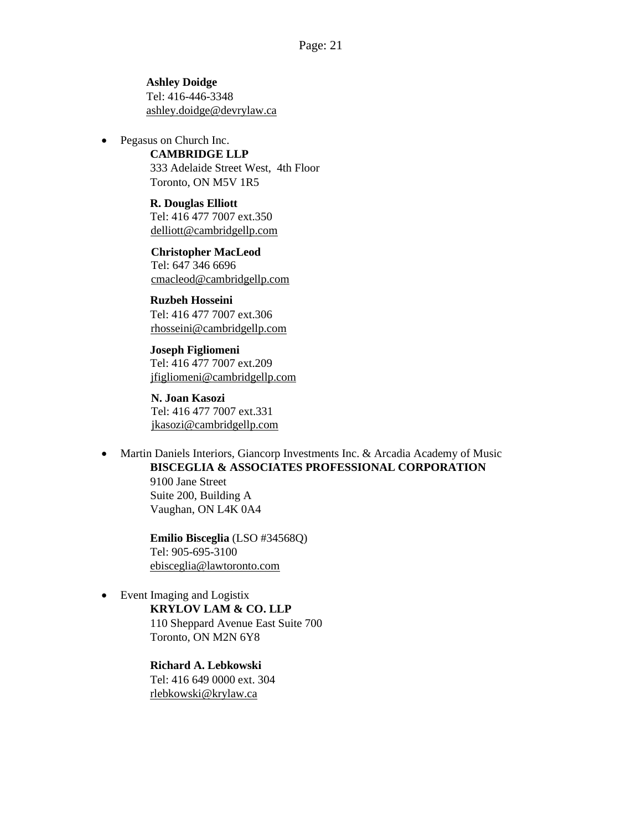**Ashley Doidge**  Tel: 416-446-3348 ashley.doidge@devrylaw.ca

Pegasus on Church Inc.

**CAMBRIDGE LLP**  333 Adelaide Street West, 4th Floor Toronto, ON M5V 1R5

**R. Douglas Elliott**  Tel: 416 477 7007 ext.350 delliott@cambridgellp.com

**Christopher MacLeod**  Tel: 647 346 6696 cmacleod@cambridgellp.com

**Ruzbeh Hosseini**  Tel: 416 477 7007 ext.306 rhosseini@cambridgellp.com

**Joseph Figliomeni**  Tel: 416 477 7007 ext.209 jfigliomeni@cambridgellp.com

**N. Joan Kasozi**  Tel: 416 477 7007 ext.331 jkasozi@cambridgellp.com

• Martin Daniels Interiors, Giancorp Investments Inc. & Arcadia Academy of Music **BISCEGLIA & ASSOCIATES PROFESSIONAL CORPORATION**

> 9100 Jane Street Suite 200, Building A Vaughan, ON L4K 0A4

**Emilio Bisceglia** (LSO #34568Q) Tel: 905-695-3100 ebisceglia@lawtoronto.com

• Event Imaging and Logistix

**KRYLOV LAM & CO. LLP** 110 Sheppard Avenue East Suite 700 Toronto, ON M2N 6Y8

**Richard A. Lebkowski**  Tel: 416 649 0000 ext. 304 rlebkowski@krylaw.ca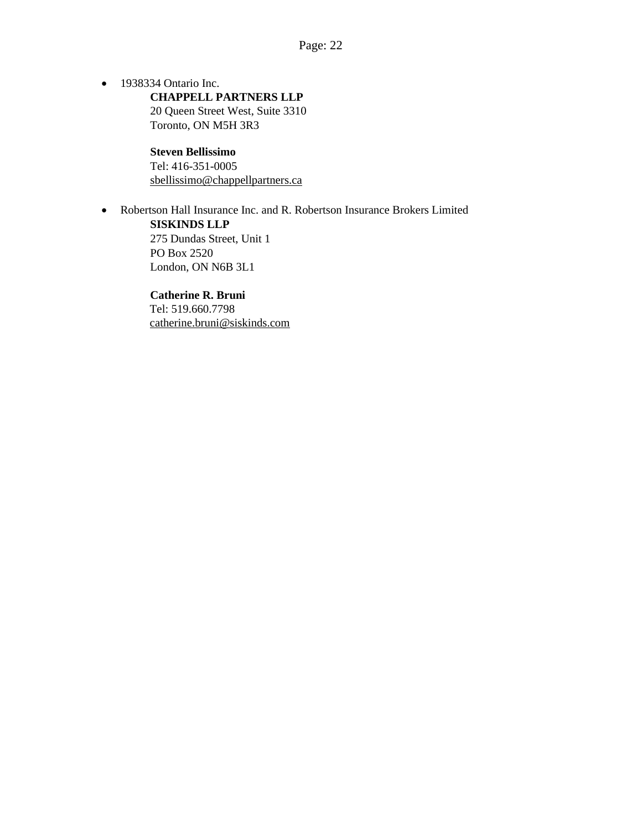• 1938334 Ontario Inc. **CHAPPELL PARTNERS LLP** 20 Queen Street West, Suite 3310 Toronto, ON M5H 3R3

> **Steven Bellissimo**  Tel: 416-351-0005 sbellissimo@chappellpartners.ca

• Robertson Hall Insurance Inc. and R. Robertson Insurance Brokers Limited **SISKINDS LLP** 

275 Dundas Street, Unit 1 PO Box 2520 London, ON N6B 3L1

**Catherine R. Bruni**  Tel: 519.660.7798 catherine.bruni@siskinds.com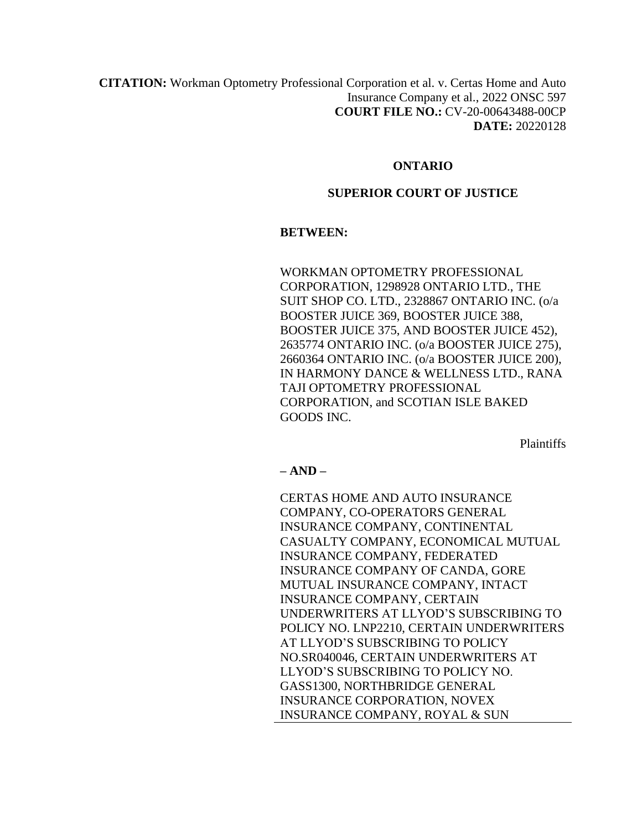**CITATION:** Workman Optometry Professional Corporation et al. v. Certas Home and Auto Insurance Company et al., 2022 ONSC 597 **COURT FILE NO.:** CV-20-00643488-00CP **DATE:** 20220128

### **ONTARIO**

### **SUPERIOR COURT OF JUSTICE**

### **BETWEEN:**

WORKMAN OPTOMETRY PROFESSIONAL CORPORATION, 1298928 ONTARIO LTD., THE SUIT SHOP CO. LTD., 2328867 ONTARIO INC. (o/a BOOSTER JUICE 369, BOOSTER JUICE 388, BOOSTER JUICE 375, AND BOOSTER JUICE 452), 2635774 ONTARIO INC. (o/a BOOSTER JUICE 275), 2660364 ONTARIO INC. (o/a BOOSTER JUICE 200), IN HARMONY DANCE & WELLNESS LTD., RANA TAJI OPTOMETRY PROFESSIONAL CORPORATION, and SCOTIAN ISLE BAKED GOODS INC.

Plaintiffs

**– AND –**

CERTAS HOME AND AUTO INSURANCE COMPANY, CO-OPERATORS GENERAL INSURANCE COMPANY, CONTINENTAL CASUALTY COMPANY, ECONOMICAL MUTUAL INSURANCE COMPANY, FEDERATED INSURANCE COMPANY OF CANDA, GORE MUTUAL INSURANCE COMPANY, INTACT INSURANCE COMPANY, CERTAIN UNDERWRITERS AT LLYOD'S SUBSCRIBING TO POLICY NO. LNP2210, CERTAIN UNDERWRITERS AT LLYOD'S SUBSCRIBING TO POLICY NO.SR040046, CERTAIN UNDERWRITERS AT LLYOD'S SUBSCRIBING TO POLICY NO. GASS1300, NORTHBRIDGE GENERAL INSURANCE CORPORATION, NOVEX INSURANCE COMPANY, ROYAL & SUN